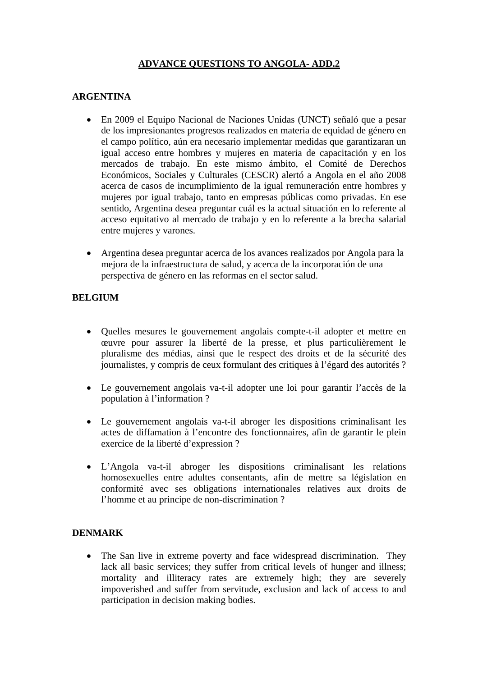# **ADVANCE QUESTIONS TO ANGOLA- ADD.2**

## **ARGENTINA**

- En 2009 el Equipo Nacional de Naciones Unidas (UNCT) señaló que a pesar de los impresionantes progresos realizados en materia de equidad de género en el campo político, aún era necesario implementar medidas que garantizaran un igual acceso entre hombres y mujeres en materia de capacitación y en los mercados de trabajo. En este mismo ámbito, el Comité de Derechos Económicos, Sociales y Culturales (CESCR) alertó a Angola en el año 2008 acerca de casos de incumplimiento de la igual remuneración entre hombres y mujeres por igual trabajo, tanto en empresas públicas como privadas. En ese sentido, Argentina desea preguntar cuál es la actual situación en lo referente al acceso equitativo al mercado de trabajo y en lo referente a la brecha salarial entre mujeres y varones.
- Argentina desea preguntar acerca de los avances realizados por Angola para la mejora de la infraestructura de salud, y acerca de la incorporación de una perspectiva de género en las reformas en el sector salud.

### **BELGIUM**

- Quelles mesures le gouvernement angolais compte-t-il adopter et mettre en œuvre pour assurer la liberté de la presse, et plus particulièrement le pluralisme des médias, ainsi que le respect des droits et de la sécurité des journalistes, y compris de ceux formulant des critiques à l'égard des autorités ?
- Le gouvernement angolais va-t-il adopter une loi pour garantir l'accès de la population à l'information ?
- Le gouvernement angolais va-t-il abroger les dispositions criminalisant les actes de diffamation à l'encontre des fonctionnaires, afin de garantir le plein exercice de la liberté d'expression ?
- L'Angola va-t-il abroger les dispositions criminalisant les relations homosexuelles entre adultes consentants, afin de mettre sa législation en conformité avec ses obligations internationales relatives aux droits de l'homme et au principe de non-discrimination ?

### **DENMARK**

• The San live in extreme poverty and face widespread discrimination. They lack all basic services; they suffer from critical levels of hunger and illness; mortality and illiteracy rates are extremely high; they are severely impoverished and suffer from servitude, exclusion and lack of access to and participation in decision making bodies.